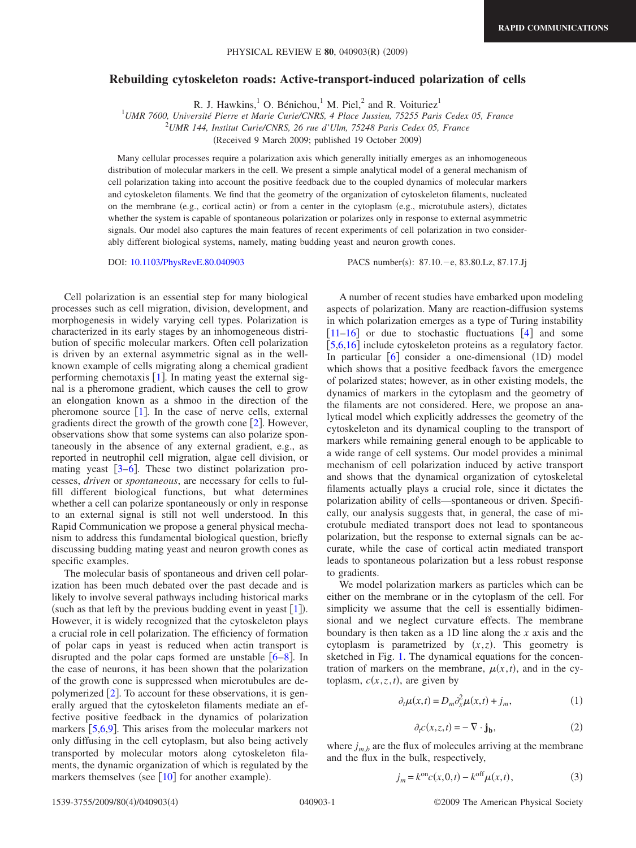## **Rebuilding cytoskeleton roads: Active-transport-induced polarization of cells**

R. J. Hawkins,<sup>1</sup> O. Bénichou,<sup>1</sup> M. Piel,<sup>2</sup> and R. Voituriez<sup>1</sup>

1 *UMR 7600, Université Pierre et Marie Curie/CNRS, 4 Place Jussieu, 75255 Paris Cedex 05, France*

2 *UMR 144, Institut Curie/CNRS, 26 rue d'Ulm, 75248 Paris Cedex 05, France*

Received 9 March 2009; published 19 October 2009-

Many cellular processes require a polarization axis which generally initially emerges as an inhomogeneous distribution of molecular markers in the cell. We present a simple analytical model of a general mechanism of cell polarization taking into account the positive feedback due to the coupled dynamics of molecular markers and cytoskeleton filaments. We find that the geometry of the organization of cytoskeleton filaments, nucleated on the membrane (e.g., cortical actin) or from a center in the cytoplasm (e.g., microtubule asters), dictates whether the system is capable of spontaneous polarization or polarizes only in response to external asymmetric signals. Our model also captures the main features of recent experiments of cell polarization in two considerably different biological systems, namely, mating budding yeast and neuron growth cones.

DOI: [10.1103/PhysRevE.80.040903](http://dx.doi.org/10.1103/PhysRevE.80.040903)

PACS number(s): 87.10. - e, 83.80. Lz, 87.17. Jj

Cell polarization is an essential step for many biological processes such as cell migration, division, development, and morphogenesis in widely varying cell types. Polarization is characterized in its early stages by an inhomogeneous distribution of specific molecular markers. Often cell polarization is driven by an external asymmetric signal as in the wellknown example of cells migrating along a chemical gradient performing chemotaxis  $\lceil 1 \rceil$  $\lceil 1 \rceil$  $\lceil 1 \rceil$ . In mating yeast the external signal is a pheromone gradient, which causes the cell to grow an elongation known as a shmoo in the direction of the pheromone source  $[1]$  $[1]$  $[1]$ . In the case of nerve cells, external gradients direct the growth of the growth cone  $[2]$  $[2]$  $[2]$ . However, observations show that some systems can also polarize spontaneously in the absence of any external gradient, e.g., as reported in neutrophil cell migration, algae cell division, or mating yeast  $\lceil 3-6 \rceil$  $\lceil 3-6 \rceil$  $\lceil 3-6 \rceil$ . These two distinct polarization processes, *driven* or *spontaneous*, are necessary for cells to fulfill different biological functions, but what determines whether a cell can polarize spontaneously or only in response to an external signal is still not well understood. In this Rapid Communication we propose a general physical mechanism to address this fundamental biological question, briefly discussing budding mating yeast and neuron growth cones as specific examples.

The molecular basis of spontaneous and driven cell polarization has been much debated over the past decade and is likely to involve several pathways including historical marks (such as that left by the previous budding event in yeast  $[1]$  $[1]$  $[1]$ ). However, it is widely recognized that the cytoskeleton plays a crucial role in cell polarization. The efficiency of formation of polar caps in yeast is reduced when actin transport is disrupted and the polar caps formed are unstable  $[6-8]$  $[6-8]$  $[6-8]$ . In the case of neurons, it has been shown that the polarization of the growth cone is suppressed when microtubules are depolymerized  $[2]$  $[2]$  $[2]$ . To account for these observations, it is generally argued that the cytoskeleton filaments mediate an effective positive feedback in the dynamics of polarization markers  $[5,6,9]$  $[5,6,9]$  $[5,6,9]$  $[5,6,9]$  $[5,6,9]$ . This arises from the molecular markers not only diffusing in the cell cytoplasm, but also being actively transported by molecular motors along cytoskeleton filaments, the dynamic organization of which is regulated by the markers themselves (see  $[10]$  $[10]$  $[10]$  for another example).

A number of recent studies have embarked upon modeling aspects of polarization. Many are reaction-diffusion systems in which polarization emerges as a type of Turing instability  $\begin{bmatrix} 11-16 \end{bmatrix}$  $\begin{bmatrix} 11-16 \end{bmatrix}$  $\begin{bmatrix} 11-16 \end{bmatrix}$  or due to stochastic fluctuations  $\begin{bmatrix} 4 \end{bmatrix}$  $\begin{bmatrix} 4 \end{bmatrix}$  $\begin{bmatrix} 4 \end{bmatrix}$  and some [[5,](#page-3-5)[6,](#page-3-3)[16](#page-3-9)] include cytoskeleton proteins as a regulatory factor. In particular [[6](#page-3-3)] consider a one-dimensional (1D) model which shows that a positive feedback favors the emergence of polarized states; however, as in other existing models, the dynamics of markers in the cytoplasm and the geometry of the filaments are not considered. Here, we propose an analytical model which explicitly addresses the geometry of the cytoskeleton and its dynamical coupling to the transport of markers while remaining general enough to be applicable to a wide range of cell systems. Our model provides a minimal mechanism of cell polarization induced by active transport and shows that the dynamical organization of cytoskeletal filaments actually plays a crucial role, since it dictates the polarization ability of cells—spontaneous or driven. Specifically, our analysis suggests that, in general, the case of microtubule mediated transport does not lead to spontaneous polarization, but the response to external signals can be accurate, while the case of cortical actin mediated transport leads to spontaneous polarization but a less robust response to gradients.

We model polarization markers as particles which can be either on the membrane or in the cytoplasm of the cell. For simplicity we assume that the cell is essentially bidimensional and we neglect curvature effects. The membrane boundary is then taken as a 1D line along the *x* axis and the cytoplasm is parametrized by  $(x, z)$ . This geometry is sketched in Fig. [1.](#page-1-0) The dynamical equations for the concentration of markers on the membrane,  $\mu(x, t)$ , and in the cytoplasm,  $c(x, z, t)$ , are given by

$$
\partial_t \mu(x,t) = D_m \partial_x^2 \mu(x,t) + j_m,\tag{1}
$$

$$
\partial_t c(x, z, t) = -\nabla \cdot \mathbf{j_b},\tag{2}
$$

<span id="page-0-1"></span><span id="page-0-0"></span>where  $j_{m,b}$  are the flux of molecules arriving at the membrane and the flux in the bulk, respectively,

$$
j_m = k^{\text{on}} c(x, 0, t) - k^{\text{off}} \mu(x, t),
$$
 (3)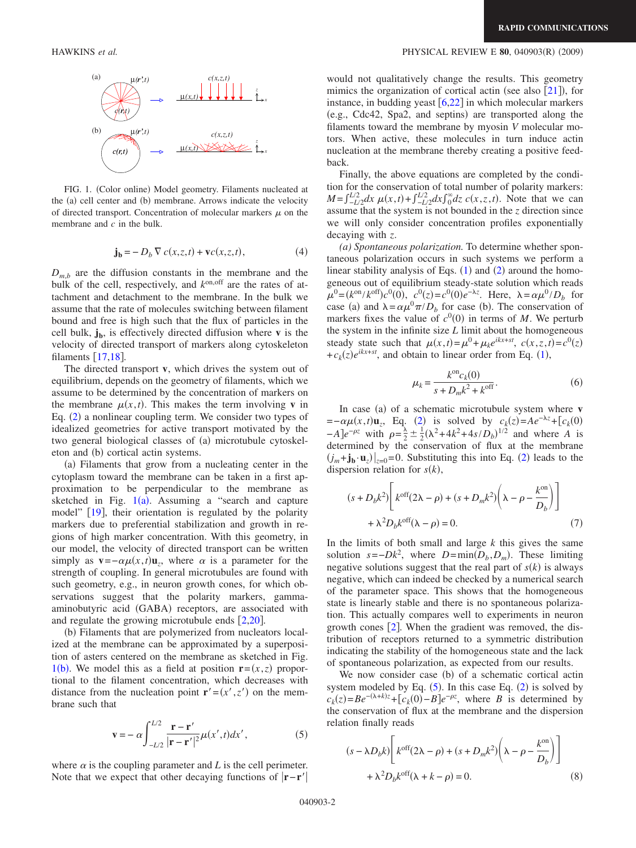

FIG. 1. (Color online) Model geometry. Filaments nucleated at the (a) cell center and (b) membrane. Arrows indicate the velocity of directed transport. Concentration of molecular markers  $\mu$  on the membrane and *c* in the bulk.

$$
\mathbf{j_b} = -D_b \nabla c(x, z, t) + \mathbf{v}c(x, z, t),\tag{4}
$$

 $D_{m,b}$  are the diffusion constants in the membrane and the bulk of the cell, respectively, and *k*on,off are the rates of attachment and detachment to the membrane. In the bulk we assume that the rate of molecules switching between filament bound and free is high such that the flux of particles in the cell bulk,  $\mathbf{j}_b$ , is effectively directed diffusion where **v** is the velocity of directed transport of markers along cytoskeleton filaments  $\left[17,18\right]$  $\left[17,18\right]$  $\left[17,18\right]$  $\left[17,18\right]$ .

The directed transport **v**, which drives the system out of equilibrium, depends on the geometry of filaments, which we assume to be determined by the concentration of markers on the membrane  $\mu(x, t)$ . This makes the term involving **v** in Eq. ([2](#page-0-0)) a nonlinear coupling term. We consider two types of idealized geometries for active transport motivated by the two general biological classes of (a) microtubule cytoskeleton and (b) cortical actin systems.

(a) Filaments that grow from a nucleating center in the cytoplasm toward the membrane can be taken in a first approximation to be perpendicular to the membrane as sketched in Fig.  $1(a)$  $1(a)$ . Assuming a "search and capture model" [[19](#page-3-13)], their orientation is regulated by the polarity markers due to preferential stabilization and growth in regions of high marker concentration. With this geometry, in our model, the velocity of directed transport can be written simply as  $\mathbf{v} = -\alpha \mu(x, t) \mathbf{u}_z$ , where  $\alpha$  is a parameter for the strength of coupling. In general microtubules are found with such geometry, e.g., in neuron growth cones, for which observations suggest that the polarity markers, gammaaminobutyric acid (GABA) receptors, are associated with and regulate the growing microtubule ends  $[2,20]$  $[2,20]$  $[2,20]$  $[2,20]$ .

(b) Filaments that are polymerized from nucleators localized at the membrane can be approximated by a superposition of asters centered on the membrane as sketched in Fig. [1](#page-1-0)(b). We model this as a field at position  $\mathbf{r} = (x, z)$  proportional to the filament concentration, which decreases with distance from the nucleation point  $\mathbf{r}'=(x',z')$  on the membrane such that

$$
\mathbf{v} = -\alpha \int_{-L/2}^{L/2} \frac{\mathbf{r} - \mathbf{r}'}{|\mathbf{r} - \mathbf{r}'|^2} \mu(x', t) dx', \qquad (5)
$$

<span id="page-1-1"></span>where  $\alpha$  is the coupling parameter and *L* is the cell perimeter. Note that we expect that other decaying functions of **r**−**r**

## <span id="page-1-0"></span>HAWKINS *et al.* PHYSICAL REVIEW E **80**, 040903R- 2009-

would not qualitatively change the results. This geometry mimics the organization of cortical actin (see also  $[21]$  $[21]$  $[21]$ ), for instance, in budding yeast  $\lceil 6,22 \rceil$  $\lceil 6,22 \rceil$  $\lceil 6,22 \rceil$  $\lceil 6,22 \rceil$  in which molecular markers (e.g., Cdc42, Spa2, and septins) are transported along the filaments toward the membrane by myosin *V* molecular motors. When active, these molecules in turn induce actin nucleation at the membrane thereby creating a positive feedback.

Finally, the above equations are completed by the condition for the conservation of total number of polarity markers:  $M = \int_{-L/2}^{L/2} dx \mu(x, t) + \int_{-L/2}^{L/2} dx \int_{0}^{\infty} dz c(x, z, t)$ . Note that we can assume that the system is not bounded in the *z* direction since we will only consider concentration profiles exponentially decaying with *z*.

*(a) Spontaneous polarization.* To determine whether spontaneous polarization occurs in such systems we perform a linear stability analysis of Eqs.  $(1)$  $(1)$  $(1)$  and  $(2)$  $(2)$  $(2)$  around the homogeneous out of equilibrium steady-state solution which reads  $\mu^0 = (k^{\text{on}}/k^{\text{off}})c^0(0), c^0(z) = c^0(0)e^{-\lambda z}$ . Here,  $\lambda = \alpha \mu^0/D_b$  for case (a) and  $\lambda = \alpha \mu^0 \pi / D_b$  for case (b). The conservation of markers fixes the value of  $c^0(0)$  in terms of *M*. We perturb the system in the infinite size *L* limit about the homogeneous steady state such that  $\mu(x,t) = \mu^0 + \mu_k e^{ikx+st}$ ,  $c(x, z, t) = c^0(z)$  $+c_k(z)e^{ikx+st}$ , and obtain to linear order from Eq. ([1](#page-0-1)),

$$
\mu_k = \frac{k^{\text{on}} c_k(0)}{s + D_m k^2 + k^{\text{off}}}.
$$
\n(6)

In case (a) of a schematic microtubule system where **v**  $=-\alpha\mu(x,t)\mathbf{u}_z$ , Eq. ([2](#page-0-0)) is solved by  $c_k(z)=Ae^{-\lambda z}+[c_k(0)]$  $-A$ ]*e<sup>−* $\rho z$ *</sup>* with  $\rho = \frac{\lambda}{2} \pm \frac{1}{2} (\lambda^2 + 4k^2 + 4s/D_b)^{1/2}$  and where *A* is determined by the conservation of flux at the membrane  $(j_m + j_b \cdot u_z)|_{z=0} = 0$ . Substituting this into Eq. ([2](#page-0-0)) leads to the dispersion relation for  $s(k)$ ,

$$
(s + D_b k^2) \left[ k^{\text{off}} (2\lambda - \rho) + (s + D_m k^2) \left( \lambda - \rho - \frac{k^{\text{on}}}{D_b} \right) \right]
$$
  
+  $\lambda^2 D_b k^{\text{off}} (\lambda - \rho) = 0.$  (7)

In the limits of both small and large *k* this gives the same solution  $s = -Dk^2$ , where  $D = \min(D_b, D_m)$ . These limiting negative solutions suggest that the real part of  $s(k)$  is always negative, which can indeed be checked by a numerical search of the parameter space. This shows that the homogeneous state is linearly stable and there is no spontaneous polarization. This actually compares well to experiments in neuron growth cones  $[2]$  $[2]$  $[2]$ . When the gradient was removed, the distribution of receptors returned to a symmetric distribution indicating the stability of the homogeneous state and the lack of spontaneous polarization, as expected from our results.

We now consider case (b) of a schematic cortical actin system modeled by Eq.  $(5)$  $(5)$  $(5)$ . In this case Eq.  $(2)$  $(2)$  $(2)$  is solved by  $c_k(z) = Be^{-(\lambda + k)z} + [c_k(0) - B]e^{-pz}$ , where *B* is determined by the conservation of flux at the membrane and the dispersion relation finally reads

<span id="page-1-2"></span>
$$
(s - \lambda D_b k) \left[ k^{\text{off}} (2\lambda - \rho) + (s + D_m k^2) \left( \lambda - \rho - \frac{k^{\text{on}}}{D_b} \right) \right]
$$
  
+  $\lambda^2 D_b k^{\text{off}} (\lambda + k - \rho) = 0.$  (8)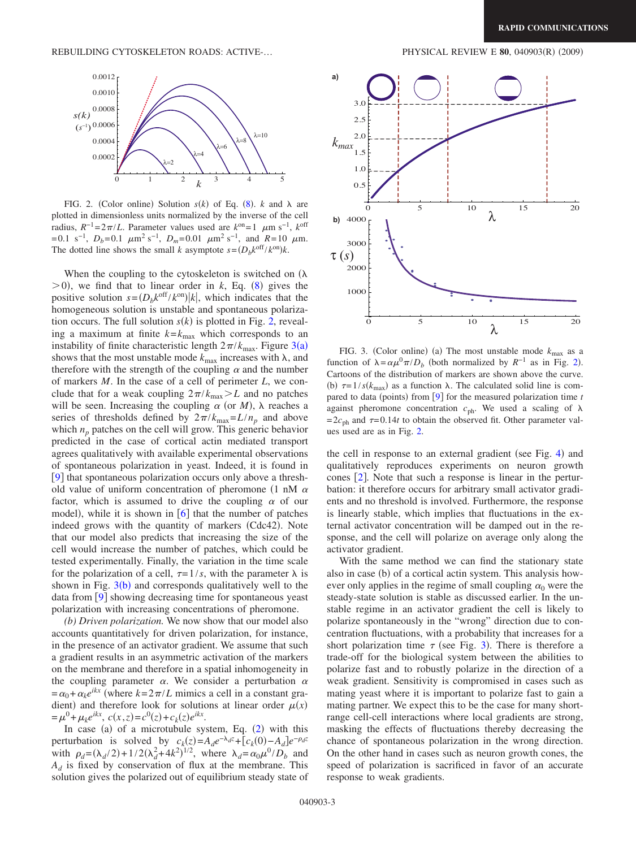<span id="page-2-0"></span>

FIG. 2. (Color online) Solution  $s(k)$  of Eq. ([8](#page-1-2)).  $k$  and  $\lambda$  are plotted in dimensionless units normalized by the inverse of the cell radius,  $R^{-1} = 2\pi/L$ . Parameter values used are  $k^{\text{on}} = 1$   $\mu$ m s<sup>-1</sup>,  $k^{\text{off}}$  $=0.1 \text{ s}^{-1}$ ,  $D_b=0.1 \mu \text{m}^2 \text{ s}^{-1}$ ,  $D_m=0.01 \mu \text{m}^2 \text{ s}^{-1}$ , and  $R=10 \mu \text{m}$ . The dotted line shows the small *k* asymptote  $s = (D_b k^{\text{off}} / k^{\text{on}})k$ .

When the coupling to the cytoskeleton is switched on  $(\lambda)$  $(0, 0)$ , we find that to linear order in *k*, Eq. ([8](#page-1-2)) gives the positive solution  $s = (D_b k^{\text{off}} / k^{\text{on}})|k|$ , which indicates that the homogeneous solution is unstable and spontaneous polarization occurs. The full solution  $s(k)$  is plotted in Fig. [2,](#page-2-0) revealing a maximum at finite  $k = k_{\text{max}}$  which corresponds to an instability of finite characteristic length  $2\pi/k_{\text{max}}$ . Figure [3](#page-2-1)(a) shows that the most unstable mode  $k_{\text{max}}$  increases with  $\lambda$ , and therefore with the strength of the coupling  $\alpha$  and the number of markers *M*. In the case of a cell of perimeter *L*, we conclude that for a weak coupling  $2\pi/k_{\text{max}} > L$  and no patches will be seen. Increasing the coupling  $\alpha$  (or *M*),  $\lambda$  reaches a series of thresholds defined by  $2\pi/k_{\text{max}}=L/n_p$  and above which  $n_p$  patches on the cell will grow. This generic behavior predicted in the case of cortical actin mediated transport agrees qualitatively with available experimental observations of spontaneous polarization in yeast. Indeed, it is found in [[9](#page-3-6)] that spontaneous polarization occurs only above a threshold value of uniform concentration of pheromone  $(1 \text{ nM } \alpha)$ factor, which is assumed to drive the coupling  $\alpha$  of our model), while it is shown in  $[6]$  $[6]$  $[6]$  that the number of patches indeed grows with the quantity of markers (Cdc42). Note that our model also predicts that increasing the size of the cell would increase the number of patches, which could be tested experimentally. Finally, the variation in the time scale for the polarization of a cell,  $\tau = 1/s$ , with the parameter  $\lambda$  is shown in Fig.  $3(b)$  $3(b)$  and corresponds qualitatively well to the data from  $[9]$  $[9]$  $[9]$  showing decreasing time for spontaneous yeast polarization with increasing concentrations of pheromone.

*(b) Driven polarization.* We now show that our model also accounts quantitatively for driven polarization, for instance, in the presence of an activator gradient. We assume that such a gradient results in an asymmetric activation of the markers on the membrane and therefore in a spatial inhomogeneity in the coupling parameter  $\alpha$ . We consider a perturbation  $\alpha$  $=\alpha_0+\alpha_k e^{ikx}$  (where  $k=2\pi/L$  mimics a cell in a constant gradient) and therefore look for solutions at linear order  $\mu(x)$  $= \mu^{0} + \mu_{k}e^{ikx}, \ c(x, z) = c^{0}(z) + c_{k}(z)e^{ikx}.$ 

In case (a) of a microtubule system, Eq.  $(2)$  $(2)$  $(2)$  with this perturbation is solved by  $c_k(z) = A_d e^{-\lambda_d z} + [c_k(0) - A_d] e^{-\rho_d z}$ with  $\rho_d = (\lambda_d / 2) + 1/2(\lambda_d^2 + 4k^2)^{1/2}$ , where  $\lambda_d = \alpha_0 \mu^0 / D_b$  and  $A_d$  is fixed by conservation of flux at the membrane. This solution gives the polarized out of equilibrium steady state of

<span id="page-2-1"></span>

FIG. 3. (Color online) (a) The most unstable mode  $k_{\text{max}}$  as a function of  $\lambda = \alpha \mu^0 \pi / D_b$  (both normalized by  $R^{-1}$  as in Fig. [2](#page-2-0)). Cartoons of the distribution of markers are shown above the curve. (b)  $\tau = 1/s(k_{\text{max}})$  as a function  $\lambda$ . The calculated solid line is com-pared to data (points) from [[9](#page-3-6)] for the measured polarization time *t* against pheromone concentration  $c_{ph}$ . We used a scaling of  $\lambda$  $=2c_{ph}$  and  $\tau=0.14t$  to obtain the observed fit. Other parameter values used are as in Fig. [2.](#page-2-0)

the cell in response to an external gradient (see Fig. [4](#page-3-17)) and qualitatively reproduces experiments on neuron growth cones  $\lbrack 2 \rbrack$  $\lbrack 2 \rbrack$  $\lbrack 2 \rbrack$ . Note that such a response is linear in the perturbation: it therefore occurs for arbitrary small activator gradients and no threshold is involved. Furthermore, the response is linearly stable, which implies that fluctuations in the external activator concentration will be damped out in the response, and the cell will polarize on average only along the activator gradient.

With the same method we can find the stationary state also in case (b) of a cortical actin system. This analysis however only applies in the regime of small coupling  $\alpha_0$  were the steady-state solution is stable as discussed earlier. In the unstable regime in an activator gradient the cell is likely to polarize spontaneously in the "wrong" direction due to concentration fluctuations, with a probability that increases for a short polarization time  $\tau$  (see Fig. [3](#page-2-1)). There is therefore a trade-off for the biological system between the abilities to polarize fast and to robustly polarize in the direction of a weak gradient. Sensitivity is compromised in cases such as mating yeast where it is important to polarize fast to gain a mating partner. We expect this to be the case for many shortrange cell-cell interactions where local gradients are strong, masking the effects of fluctuations thereby decreasing the chance of spontaneous polarization in the wrong direction. On the other hand in cases such as neuron growth cones, the speed of polarization is sacrificed in favor of an accurate response to weak gradients.